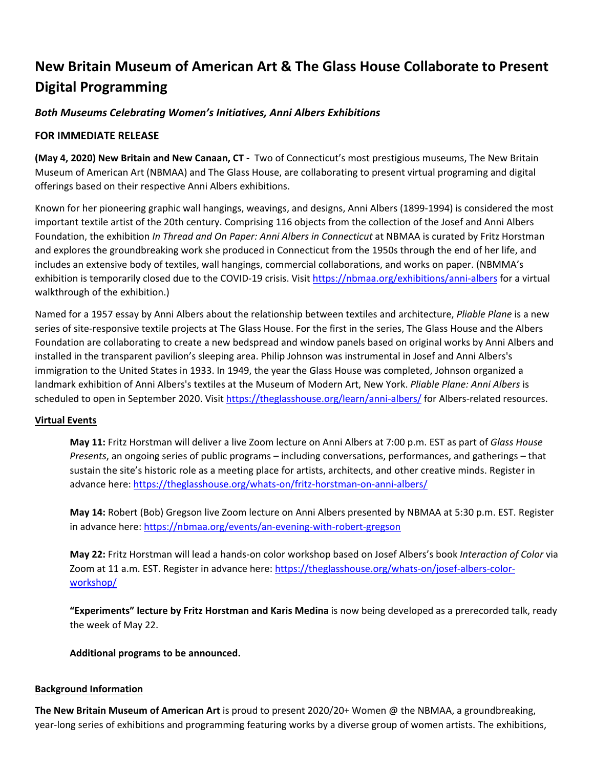# **New Britain Museum of American Art & The Glass House Collaborate to Present Digital Programming**

## *Both Museums Celebrating Women's Initiatives, Anni Albers Exhibitions*

### **FOR IMMEDIATE RELEASE**

**(May 4, 2020) New Britain and New Canaan, CT ‐**  Two of Connecticut's most prestigious museums, The New Britain Museum of American Art (NBMAA) and The Glass House, are collaborating to present virtual programing and digital offerings based on their respective Anni Albers exhibitions.

Known for her pioneering graphic wall hangings, weavings, and designs, Anni Albers (1899‐1994) is considered the most important textile artist of the 20th century. Comprising 116 objects from the collection of the Josef and Anni Albers Foundation, the exhibition *In Thread and On Paper: Anni Albers in Connecticut* at NBMAA is curated by Fritz Horstman and explores the groundbreaking work she produced in Connecticut from the 1950s through the end of her life, and includes an extensive body of textiles, wall hangings, commercial collaborations, and works on paper. (NBMMA's exhibition is temporarily closed due to the COVID‐19 crisis. Visit https://nbmaa.org/exhibitions/anni‐albers for a virtual walkthrough of the exhibition.)

Named for a 1957 essay by Anni Albers about the relationship between textiles and architecture, *Pliable Plane* is a new series of site-responsive textile projects at The Glass House. For the first in the series, The Glass House and the Albers Foundation are collaborating to create a new bedspread and window panels based on original works by Anni Albers and installed in the transparent pavilion's sleeping area. Philip Johnson was instrumental in Josef and Anni Albers's immigration to the United States in 1933. In 1949, the year the Glass House was completed, Johnson organized a landmark exhibition of Anni Albers's textiles at the Museum of Modern Art, New York. *Pliable Plane: Anni Albers* is scheduled to open in September 2020. Visit https://theglasshouse.org/learn/anni-albers/ for Albers-related resources.

#### **Virtual Events**

**May 11:** Fritz Horstman will deliver a live Zoom lecture on Anni Albers at 7:00 p.m. EST as part of *Glass House Presents*, an ongoing series of public programs – including conversations, performances, and gatherings – that sustain the site's historic role as a meeting place for artists, architects, and other creative minds. Register in advance here: https://theglasshouse.org/whats‐on/fritz‐horstman‐on‐anni‐albers/

**May 14:** Robert (Bob) Gregson live Zoom lecture on Anni Albers presented by NBMAA at 5:30 p.m. EST. Register in advance here: https://nbmaa.org/events/an‐evening‐with‐robert‐gregson

**May 22:** Fritz Horstman will lead a hands‐on color workshop based on Josef Albers's book *Interaction of Color* via Zoom at 11 a.m. EST. Register in advance here: https://theglasshouse.org/whats-on/josef-albers-colorworkshop/

**"Experiments" lecture by Fritz Horstman and Karis Medina** is now being developed as a prerecorded talk, ready the week of May 22.

**Additional programs to be announced.**

#### **Background Information**

**The New Britain Museum of American Art** is proud to present 2020/20+ Women @ the NBMAA, a groundbreaking, year-long series of exhibitions and programming featuring works by a diverse group of women artists. The exhibitions,